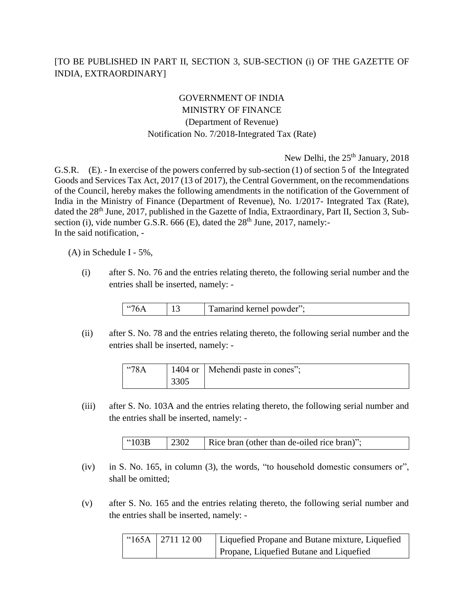## [TO BE PUBLISHED IN PART II, SECTION 3, SUB-SECTION (i) OF THE GAZETTE OF INDIA, EXTRAORDINARY]

## GOVERNMENT OF INDIA MINISTRY OF FINANCE (Department of Revenue) Notification No. 7/2018-Integrated Tax (Rate)

New Delhi, the  $25<sup>th</sup>$  January, 2018

G.S.R. (E). - In exercise of the powers conferred by sub-section (1) of section 5 of the Integrated Goods and Services Tax Act, 2017 (13 of 2017), the Central Government, on the recommendations of the Council, hereby makes the following amendments in the notification of the Government of India in the Ministry of Finance (Department of Revenue), No. 1/2017- Integrated Tax (Rate), dated the 28<sup>th</sup> June, 2017, published in the Gazette of India, Extraordinary, Part II, Section 3, Subsection (i), vide number G.S.R. 666 (E), dated the  $28<sup>th</sup>$  June, 2017, namely:-In the said notification, -

(A) in Schedule I - 5%,

(i) after S. No. 76 and the entries relating thereto, the following serial number and the entries shall be inserted, namely: -

|  |  | ᠇᠇<br>owder'':<br>n<br>- 16<br>. . |
|--|--|------------------------------------|
|--|--|------------------------------------|

(ii) after S. No. 78 and the entries relating thereto, the following serial number and the entries shall be inserted, namely: -

| $^{\circ}$ 78A |      | 1404 or   Mehendi paste in cones"; |
|----------------|------|------------------------------------|
|                | 3305 |                                    |

(iii) after S. No. 103A and the entries relating thereto, the following serial number and the entries shall be inserted, namely: -

| 2302<br>$^{\circ}103B$<br>Rice bran (other than de-oiled rice bran)"; |
|-----------------------------------------------------------------------|
|-----------------------------------------------------------------------|

- (iv) in S. No. 165, in column (3), the words, "to household domestic consumers or", shall be omitted;
- (v) after S. No. 165 and the entries relating thereto, the following serial number and the entries shall be inserted, namely: -

| "165A   2711 12 00 | Liquefied Propane and Butane mixture, Liquefied |
|--------------------|-------------------------------------------------|
|                    | Propane, Liquefied Butane and Liquefied         |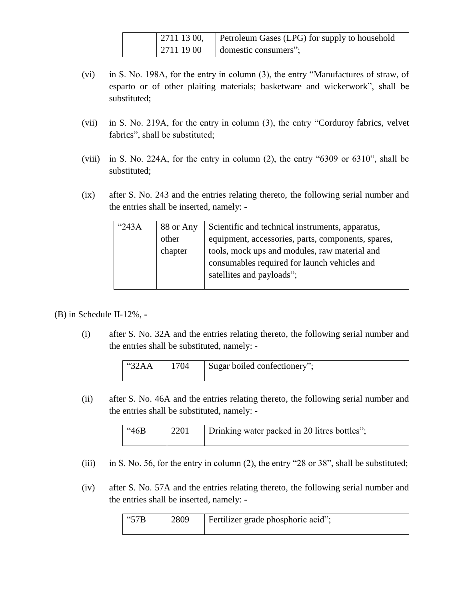| $\mid$ 2711 13 00, | Petroleum Gases (LPG) for supply to household |
|--------------------|-----------------------------------------------|
| 27111900           | domestic consumers";                          |

- (vi) in S. No. 198A, for the entry in column (3), the entry "Manufactures of straw, of esparto or of other plaiting materials; basketware and wickerwork", shall be substituted;
- (vii) in S. No. 219A, for the entry in column (3), the entry "Corduroy fabrics, velvet fabrics", shall be substituted;
- (viii) in S. No. 224A, for the entry in column (2), the entry "6309 or 6310", shall be substituted;
- (ix) after S. No. 243 and the entries relating thereto, the following serial number and the entries shall be inserted, namely: -

| $^{\circ}243A$ | 88 or Any | Scientific and technical instruments, apparatus,   |
|----------------|-----------|----------------------------------------------------|
|                | other     | equipment, accessories, parts, components, spares, |
|                | chapter   | tools, mock ups and modules, raw material and      |
|                |           | consumables required for launch vehicles and       |
|                |           | satellites and payloads";                          |
|                |           |                                                    |

(B) in Schedule II-12%, **-**

(i) after S. No. 32A and the entries relating thereto, the following serial number and the entries shall be substituted, namely: -

| "32AA | 1704 | Sugar boiled confectionery"; |
|-------|------|------------------------------|
|-------|------|------------------------------|

(ii) after S. No. 46A and the entries relating thereto, the following serial number and the entries shall be substituted, namely: -

| 46B | 2201 | Drinking water packed in 20 litres bottles"; |
|-----|------|----------------------------------------------|
|     |      |                                              |

- (iii) in S. No. 56, for the entry in column  $(2)$ , the entry "28 or 38", shall be substituted;
- (iv) after S. No. 57A and the entries relating thereto, the following serial number and the entries shall be inserted, namely: -

| $\frac{457}{8}$ | 2809 | Fertilizer grade phosphoric acid"; |
|-----------------|------|------------------------------------|
|                 |      |                                    |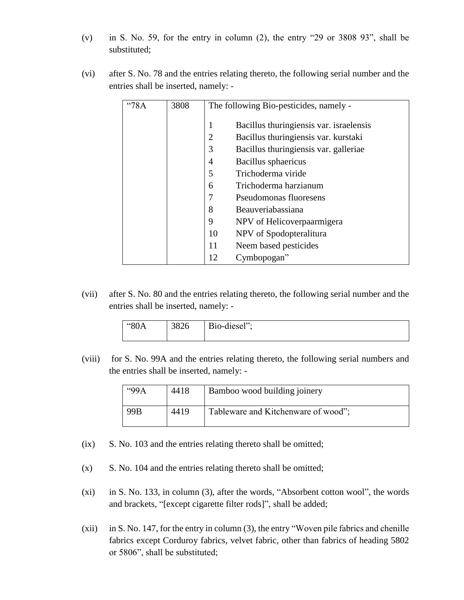- (v) in S. No. 59, for the entry in column (2), the entry "29 or 3808 93", shall be substituted;
- (vi) after S. No. 78 and the entries relating thereto, the following serial number and the entries shall be inserted, namely: -

| 78A | 3808 |    | The following Bio-pesticides, namely -   |
|-----|------|----|------------------------------------------|
|     |      |    | Bacillus thuringiensis var. is raelensis |
|     |      | 2  | Bacillus thuringiensis var. kurstaki     |
|     |      | 3  | Bacillus thuringiensis var. galleriae    |
|     |      | 4  | Bacillus sphaericus                      |
|     |      | 5  | Trichoderma viride                       |
|     |      | 6  | Trichoderma harzianum                    |
|     |      |    | Pseudomonas fluoresens                   |
|     |      | 8  | Beauveriabassiana                        |
|     |      | 9  | NPV of Helicoverpaarmigera               |
|     |      | 10 | NPV of Spodopteralitura                  |
|     |      | 11 | Neem based pesticides                    |
|     |      | 12 | Cymbopogan"                              |

(vii) after S. No. 80 and the entries relating thereto, the following serial number and the entries shall be inserted, namely: -

| "80A | 3826 | Bio-diesel"; |
|------|------|--------------|
|------|------|--------------|

(viii) for S. No. 99A and the entries relating thereto, the following serial numbers and the entries shall be inserted, namely: -

| $\cdot$ 99A | 4418 | Bamboo wood building joinery        |
|-------------|------|-------------------------------------|
| 99B         | 4419 | Tableware and Kitchenware of wood"; |

- (ix) S. No. 103 and the entries relating thereto shall be omitted;
- (x) S. No. 104 and the entries relating thereto shall be omitted;
- (xi) in S. No. 133, in column (3), after the words, "Absorbent cotton wool", the words and brackets, "[except cigarette filter rods]", shall be added;
- (xii) in S. No. 147, for the entry in column (3), the entry "Woven pile fabrics and chenille fabrics except Corduroy fabrics, velvet fabric, other than fabrics of heading 5802 or 5806", shall be substituted;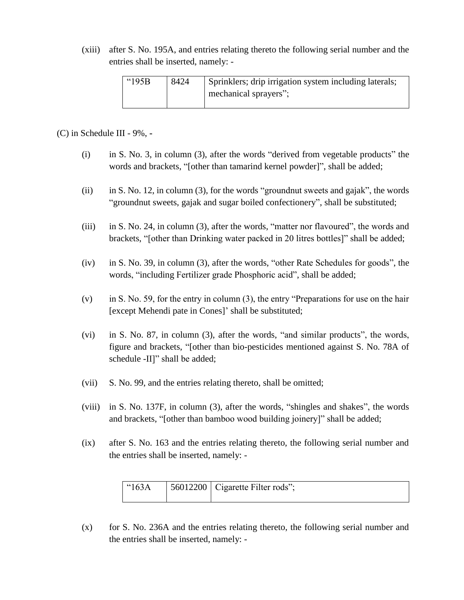(xiii) after S. No. 195A, and entries relating thereto the following serial number and the entries shall be inserted, namely: -

| " $195B$ | 8424 | Sprinklers; drip irrigation system including laterals; |
|----------|------|--------------------------------------------------------|
|          |      | mechanical sprayers";                                  |

(C) in Schedule III - 9%, **-**

- (i) in S. No. 3, in column (3), after the words "derived from vegetable products" the words and brackets, "[other than tamarind kernel powder]", shall be added;
- (ii) in S. No. 12, in column (3), for the words "groundnut sweets and gajak", the words "groundnut sweets, gajak and sugar boiled confectionery", shall be substituted;
- (iii) in S. No. 24, in column (3), after the words, "matter nor flavoured", the words and brackets, "[other than Drinking water packed in 20 litres bottles]" shall be added;
- (iv) in S. No. 39, in column (3), after the words, "other Rate Schedules for goods", the words, "including Fertilizer grade Phosphoric acid", shall be added;
- (v) in S. No. 59, for the entry in column (3), the entry "Preparations for use on the hair [except Mehendi pate in Cones]' shall be substituted;
- (vi) in S. No. 87, in column (3), after the words, "and similar products", the words, figure and brackets, "[other than bio-pesticides mentioned against S. No. 78A of schedule -II]" shall be added;
- (vii) S. No. 99, and the entries relating thereto, shall be omitted;
- (viii) in S. No. 137F, in column (3), after the words, "shingles and shakes", the words and brackets, "[other than bamboo wood building joinery]" shall be added;
- (ix) after S. No. 163 and the entries relating thereto, the following serial number and the entries shall be inserted, namely: -

| $^{\circ}$ "163A | $\vert$ 56012200 Cigarette Filter rods"; |
|------------------|------------------------------------------|
|                  |                                          |

(x) for S. No. 236A and the entries relating thereto, the following serial number and the entries shall be inserted, namely: -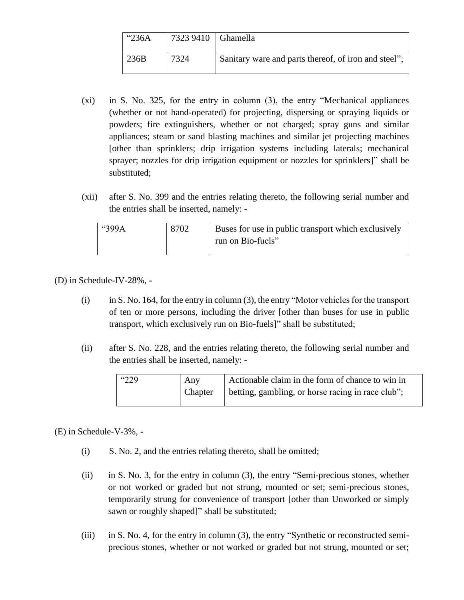| " $236A$ | 7323 9410   Ghamella |                                                      |
|----------|----------------------|------------------------------------------------------|
| 236B     | 7324                 | Sanitary ware and parts thereof, of iron and steel"; |

- (xi) in S. No. 325, for the entry in column (3), the entry "Mechanical appliances (whether or not hand-operated) for projecting, dispersing or spraying liquids or powders; fire extinguishers, whether or not charged; spray guns and similar appliances; steam or sand blasting machines and similar jet projecting machines [other than sprinklers; drip irrigation systems including laterals; mechanical sprayer; nozzles for drip irrigation equipment or nozzles for sprinklers]" shall be substituted;
- (xii) after S. No. 399 and the entries relating thereto, the following serial number and the entries shall be inserted, namely: -

| "399A" | 8702 | Buses for use in public transport which exclusively |
|--------|------|-----------------------------------------------------|
|        |      | run on Bio-fuels"                                   |
|        |      |                                                     |

(D) in Schedule-IV-28%, **-**

- (i) in S. No. 164, for the entry in column (3), the entry "Motor vehicles for the transport of ten or more persons, including the driver [other than buses for use in public transport, which exclusively run on Bio-fuels]" shall be substituted;
- (ii) after S. No. 228, and the entries relating thereto, the following serial number and the entries shall be inserted, namely: -

| "229<br>Any<br>Chapter | Actionable claim in the form of chance to win in<br>betting, gambling, or horse racing in race club"; |
|------------------------|-------------------------------------------------------------------------------------------------------|
|------------------------|-------------------------------------------------------------------------------------------------------|

(E) in Schedule-V-3%, **-**

- (i) S. No. 2, and the entries relating thereto, shall be omitted;
- (ii) in S. No. 3, for the entry in column (3), the entry "Semi-precious stones, whether or not worked or graded but not strung, mounted or set; semi-precious stones, temporarily strung for convenience of transport [other than Unworked or simply sawn or roughly shaped]" shall be substituted;
- (iii) in S. No. 4, for the entry in column (3), the entry "Synthetic or reconstructed semiprecious stones, whether or not worked or graded but not strung, mounted or set;